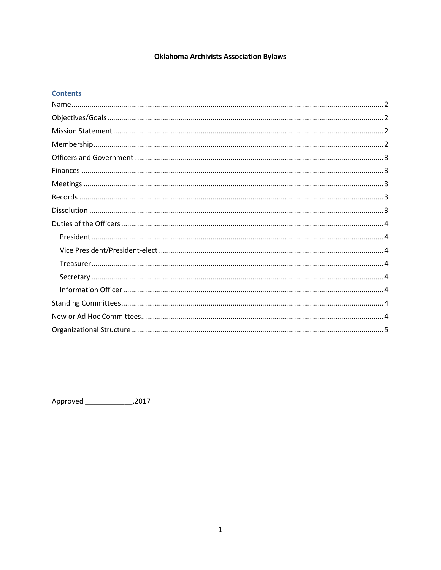# **Oklahoma Archivists Association Bylaws**

#### **Contents**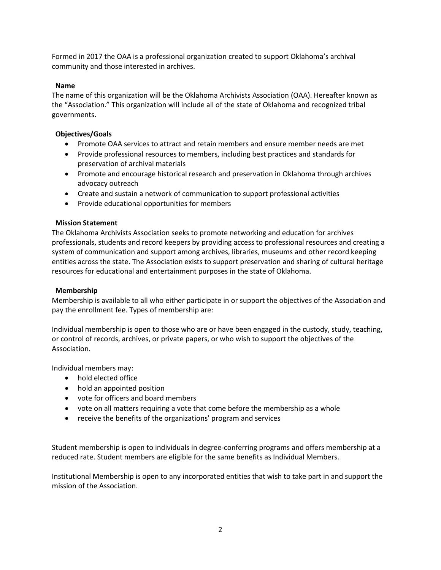Formed in 2017 the OAA is a professional organization created to support Oklahoma's archival community and those interested in archives.

# <span id="page-1-0"></span>**Name**

The name of this organization will be the Oklahoma Archivists Association (OAA). Hereafter known as the "Association." This organization will include all of the state of Oklahoma and recognized tribal governments.

# <span id="page-1-1"></span>**Objectives/Goals**

- Promote OAA services to attract and retain members and ensure member needs are met
- Provide professional resources to members, including best practices and standards for preservation of archival materials
- Promote and encourage historical research and preservation in Oklahoma through archives advocacy outreach
- Create and sustain a network of communication to support professional activities
- Provide educational opportunities for members

### <span id="page-1-2"></span>**Mission Statement**

The Oklahoma Archivists Association seeks to promote networking and education for archives professionals, students and record keepers by providing access to professional resources and creating a system of communication and support among archives, libraries, museums and other record keeping entities across the state. The Association exists to support preservation and sharing of cultural heritage resources for educational and entertainment purposes in the state of Oklahoma.

### <span id="page-1-3"></span>**Membership**

Membership is available to all who either participate in or support the objectives of the Association and pay the enrollment fee. Types of membership are:

Individual membership is open to those who are or have been engaged in the custody, study, teaching, or control of records, archives, or private papers, or who wish to support the objectives of the Association.

Individual members may:

- hold elected office
- hold an appointed position
- vote for officers and board members
- vote on all matters requiring a vote that come before the membership as a whole
- receive the benefits of the organizations' program and services

Student membership is open to individuals in degree-conferring programs and offers membership at a reduced rate. Student members are eligible for the same benefits as Individual Members.

Institutional Membership is open to any incorporated entities that wish to take part in and support the mission of the Association.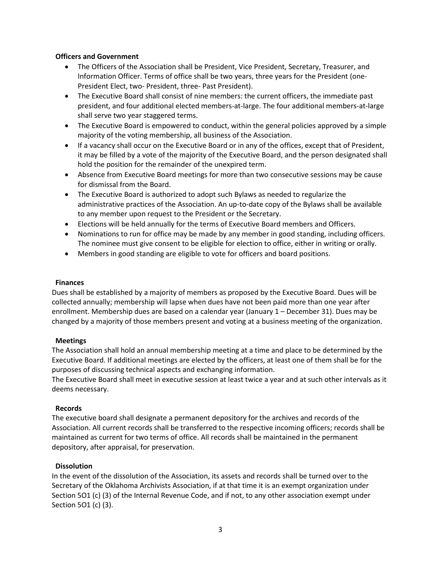#### <span id="page-2-0"></span>**Officers and Government**

- The Officers of the Association shall be President, Vice President, Secretary, Treasurer, and Information Officer. Terms of office shall be two years, three years for the President (one-President Elect, two- President, three- Past President).
- The Executive Board shall consist of nine members: the current officers, the immediate past president, and four additional elected members-at-large. The four additional members-at-large shall serve two year staggered terms.
- The Executive Board is empowered to conduct, within the general policies approved by a simple majority of the voting membership, all business of the Association.
- If a vacancy shall occur on the Executive Board or in any of the offices, except that of President, it may be filled by a vote of the majority of the Executive Board, and the person designated shall hold the position for the remainder of the unexpired term.
- Absence from Executive Board meetings for more than two consecutive sessions may be cause for dismissal from the Board.
- The Executive Board is authorized to adopt such Bylaws as needed to regularize the administrative practices of the Association. An up-to-date copy of the Bylaws shall be available to any member upon request to the President or the Secretary.
- Elections will be held annually for the terms of Executive Board members and Officers.
- Nominations to run for office may be made by any member in good standing, including officers. The nominee must give consent to be eligible for election to office, either in writing or orally.
- Members in good standing are eligible to vote for officers and board positions.

#### <span id="page-2-1"></span>**Finances**

Dues shall be established by a majority of members as proposed by the Executive Board. Dues will be collected annually; membership will lapse when dues have not been paid more than one year after enrollment. Membership dues are based on a calendar year (January 1 – December 31). Dues may be changed by a majority of those members present and voting at a business meeting of the organization.

### <span id="page-2-2"></span>**Meetings**

The Association shall hold an annual membership meeting at a time and place to be determined by the Executive Board. If additional meetings are elected by the officers, at least one of them shall be for the purposes of discussing technical aspects and exchanging information.

The Executive Board shall meet in executive session at least twice a year and at such other intervals as it deems necessary.

#### <span id="page-2-3"></span>**Records**

The executive board shall designate a permanent depository for the archives and records of the Association. All current records shall be transferred to the respective incoming officers; records shall be maintained as current for two terms of office. All records shall be maintained in the permanent depository, after appraisal, for preservation.

#### <span id="page-2-4"></span>**Dissolution**

In the event of the dissolution of the Association, its assets and records shall be turned over to the Secretary of the Oklahoma Archivists Association, if at that time it is an exempt organization under Section 5O1 (c) (3) of the Internal Revenue Code, and if not, to any other association exempt under Section 5O1 (c) (3).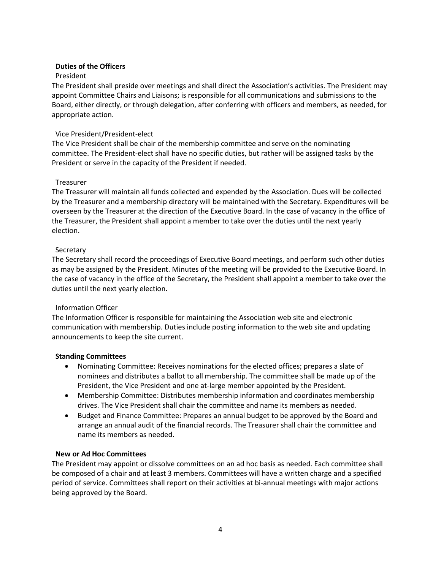# <span id="page-3-0"></span>**Duties of the Officers**

# <span id="page-3-1"></span>President

The President shall preside over meetings and shall direct the Association's activities. The President may appoint Committee Chairs and Liaisons; is responsible for all communications and submissions to the Board, either directly, or through delegation, after conferring with officers and members, as needed, for appropriate action.

# <span id="page-3-2"></span>Vice President/President-elect

The Vice President shall be chair of the membership committee and serve on the nominating committee. The President-elect shall have no specific duties, but rather will be assigned tasks by the President or serve in the capacity of the President if needed.

# <span id="page-3-3"></span>Treasurer

The Treasurer will maintain all funds collected and expended by the Association. Dues will be collected by the Treasurer and a membership directory will be maintained with the Secretary. Expenditures will be overseen by the Treasurer at the direction of the Executive Board. In the case of vacancy in the office of the Treasurer, the President shall appoint a member to take over the duties until the next yearly election.

### <span id="page-3-4"></span>**Secretary**

The Secretary shall record the proceedings of Executive Board meetings, and perform such other duties as may be assigned by the President. Minutes of the meeting will be provided to the Executive Board. In the case of vacancy in the office of the Secretary, the President shall appoint a member to take over the duties until the next yearly election.

### <span id="page-3-5"></span>Information Officer

The Information Officer is responsible for maintaining the Association web site and electronic communication with membership. Duties include posting information to the web site and updating announcements to keep the site current.

### <span id="page-3-6"></span>**Standing Committees**

- Nominating Committee: Receives nominations for the elected offices; prepares a slate of nominees and distributes a ballot to all membership. The committee shall be made up of the President, the Vice President and one at-large member appointed by the President.
- Membership Committee: Distributes membership information and coordinates membership drives. The Vice President shall chair the committee and name its members as needed.
- Budget and Finance Committee: Prepares an annual budget to be approved by the Board and arrange an annual audit of the financial records. The Treasurer shall chair the committee and name its members as needed.

### <span id="page-3-7"></span>**New or Ad Hoc Committees**

The President may appoint or dissolve committees on an ad hoc basis as needed. Each committee shall be composed of a chair and at least 3 members. Committees will have a written charge and a specified period of service. Committees shall report on their activities at bi-annual meetings with major actions being approved by the Board.